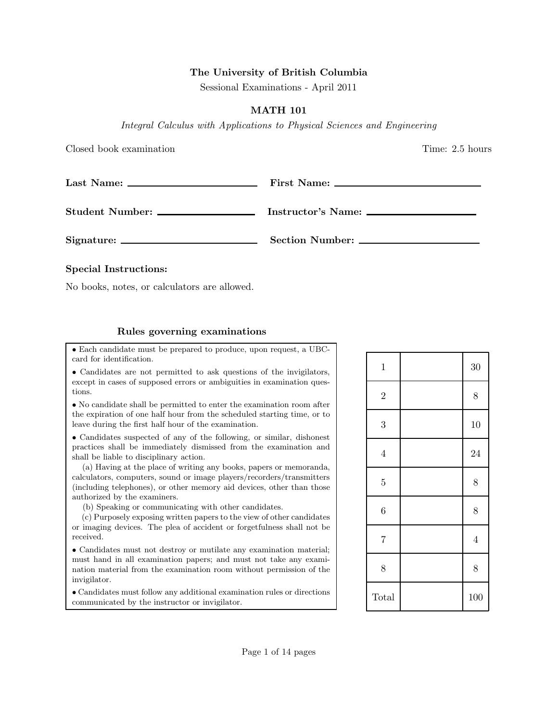## The University of British Columbia

Sessional Examinations - April 2011

## MATH 101

Integral Calculus with Applications to Physical Sciences and Engineering

Closed book examination Time: 2.5 hours

## Special Instructions:

No books, notes, or calculators are allowed.

## Rules governing examinations

• Each candidate must be prepared to produce, upon request, a UBCcard for identification.

• Candidates are not permitted to ask questions of the invigilators, except in cases of supposed errors or ambiguities in examination questions.

• No candidate shall be permitted to enter the examination room after the expiration of one half hour from the scheduled starting time, or to leave during the first half hour of the examination.

• Candidates suspected of any of the following, or similar, dishonest practices shall be immediately dismissed from the examination and shall be liable to disciplinary action.

(a) Having at the place of writing any books, papers or memoranda, calculators, computers, sound or image players/recorders/transmitters (including telephones), or other memory aid devices, other than those authorized by the examiners.

(b) Speaking or communicating with other candidates.

(c) Purposely exposing written papers to the view of other candidates or imaging devices. The plea of accident or forgetfulness shall not be received.

• Candidates must not destroy or mutilate any examination material; must hand in all examination papers; and must not take any examination material from the examination room without permission of the invigilator.

• Candidates must follow any additional examination rules or directions communicated by the instructor or invigilator.

| $\mathbf 1$    | 30             |
|----------------|----------------|
| $\overline{2}$ | 8              |
| 3              | 10             |
| $\overline{4}$ | 24             |
| $\overline{5}$ | 8              |
| 6              | 8              |
| $\overline{7}$ | $\overline{4}$ |
| 8              | 8              |
| Total          | 100            |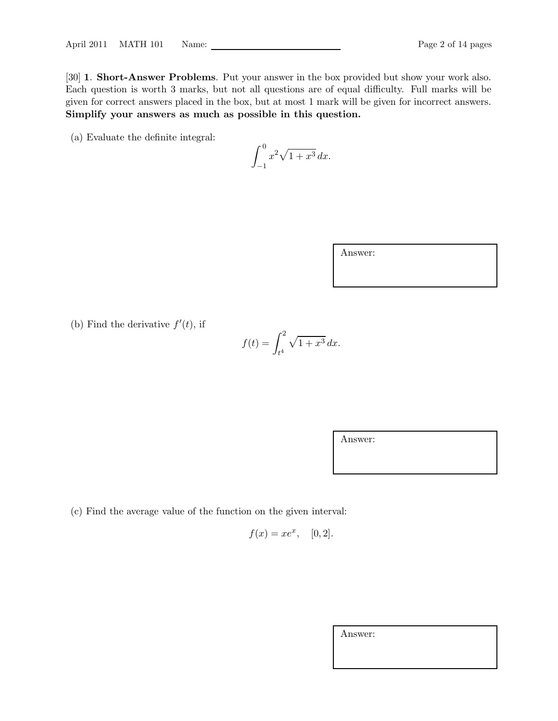[30] **1. Short-Answer Problems**. Put your answer in the box provided but show your work also. Each question is worth 3 marks, but not all questions are of equal difficulty. Full marks will be given for correct answers placed in the box, but at most 1 mark will be given for incorrect answers. Simplify your answers as much as possible in this question.

(a) Evaluate the definite integral:

$$
\int_{-1}^{0} x^2 \sqrt{1+x^3} \, dx.
$$

| Answer: |  |  |
|---------|--|--|
|         |  |  |
|         |  |  |

(b) Find the derivative  $f'(t)$ , if

$$
f(t) = \int_{t^4}^2 \sqrt{1 + x^3} \, dx.
$$

Answer:

(c) Find the average value of the function on the given interval:

 $f(x) = xe^x$ , [0, 2].

Answer: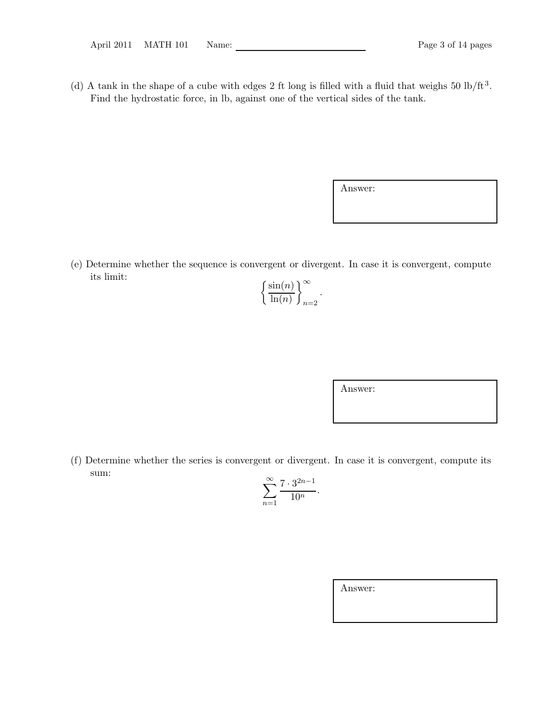(d) A tank in the shape of a cube with edges 2 ft long is filled with a fluid that weighs  $50 \text{ lb/ft}^3$ . Find the hydrostatic force, in lb, against one of the vertical sides of the tank.

Answer:

(e) Determine whether the sequence is convergent or divergent. In case it is convergent, compute its limit:

| $\sin(n)$ |  |
|-----------|--|
| $\ln(n)$  |  |

Answer:

(f) Determine whether the series is convergent or divergent. In case it is convergent, compute its sum:

$$
\sum_{n=1}^{\infty} \frac{7 \cdot 3^{2n-1}}{10^n}.
$$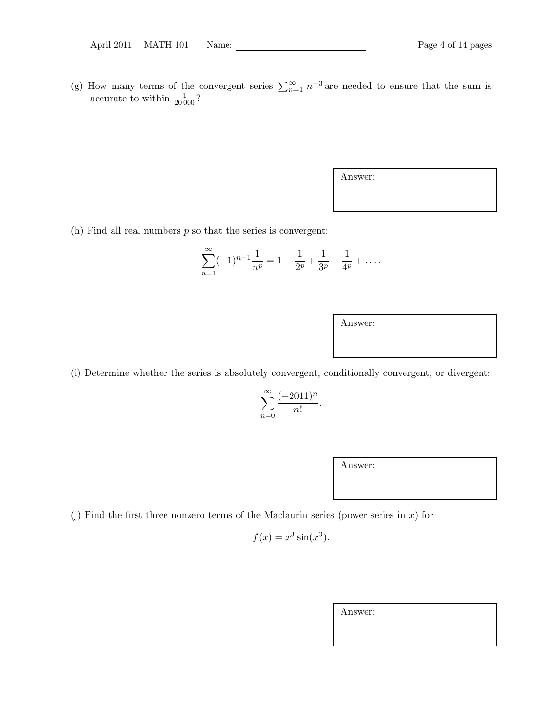(g) How many terms of the convergent series  $\sum_{n=1}^{\infty} n^{-3}$  are needed to ensure that the sum is accurate to within  $\frac{1}{20000}$ ?

Answer:

(h) Find all real numbers  $p$  so that the series is convergent:

$$
\sum_{n=1}^{\infty} (-1)^{n-1} \frac{1}{n^p} = 1 - \frac{1}{2^p} + \frac{1}{3^p} - \frac{1}{4^p} + \dots
$$

Answer:

(i) Determine whether the series is absolutely convergent, conditionally convergent, or divergent:

$$
\sum_{n=0}^{\infty} \frac{(-2011)^n}{n!}.
$$

Answer:

(j) Find the first three nonzero terms of the Maclaurin series (power series in  $x$ ) for

$$
f(x) = x^3 \sin(x^3).
$$

Answer: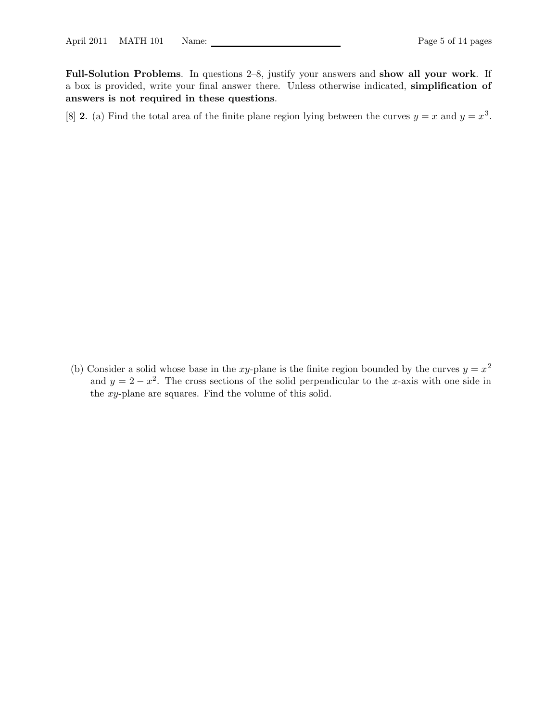Full-Solution Problems. In questions 2–8, justify your answers and show all your work. If a box is provided, write your final answer there. Unless otherwise indicated, simplification of answers is not required in these questions.

[8] **2.** (a) Find the total area of the finite plane region lying between the curves  $y = x$  and  $y = x<sup>3</sup>$ .

(b) Consider a solid whose base in the xy-plane is the finite region bounded by the curves  $y = x^2$ and  $y = 2 - x^2$ . The cross sections of the solid perpendicular to the x-axis with one side in the xy-plane are squares. Find the volume of this solid.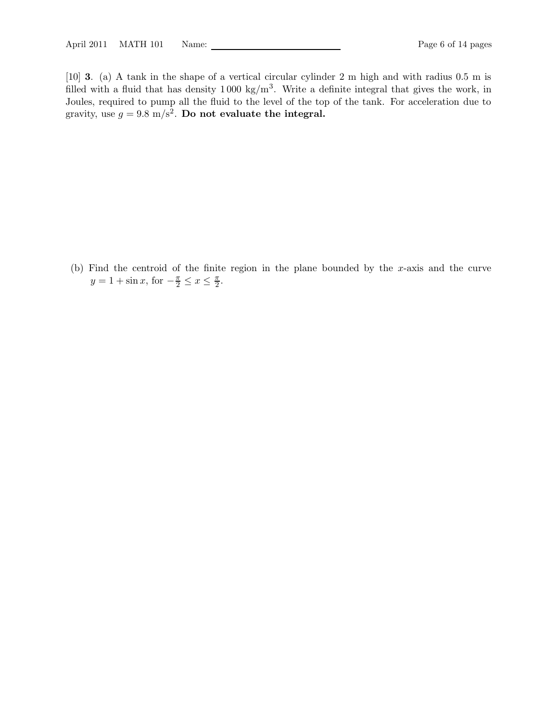[10] 3. (a) A tank in the shape of a vertical circular cylinder 2 m high and with radius 0.5 m is filled with a fluid that has density  $1000 \text{ kg/m}^3$ . Write a definite integral that gives the work, in Joules, required to pump all the fluid to the level of the top of the tank. For acceleration due to gravity, use  $g = 9.8 \text{ m/s}^2$ . Do not evaluate the integral.

(b) Find the centroid of the finite region in the plane bounded by the x-axis and the curve  $y = 1 + \sin x$ , for  $-\frac{\pi}{2} \le x \le \frac{\pi}{2}$ .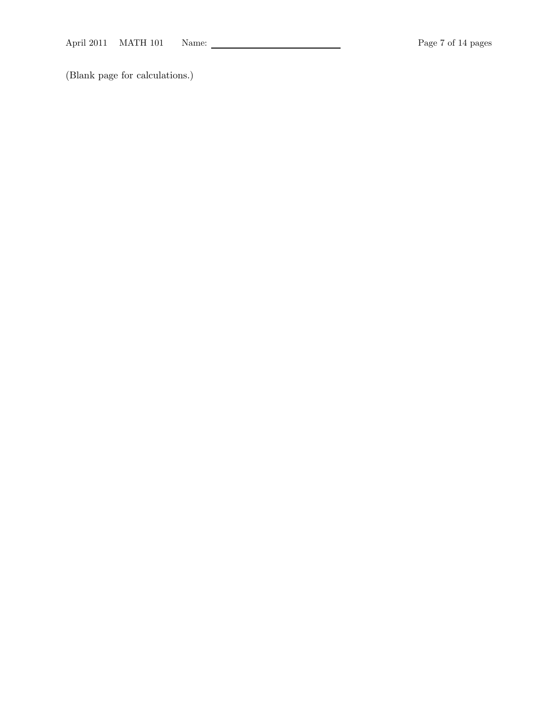(Blank page for calculations.)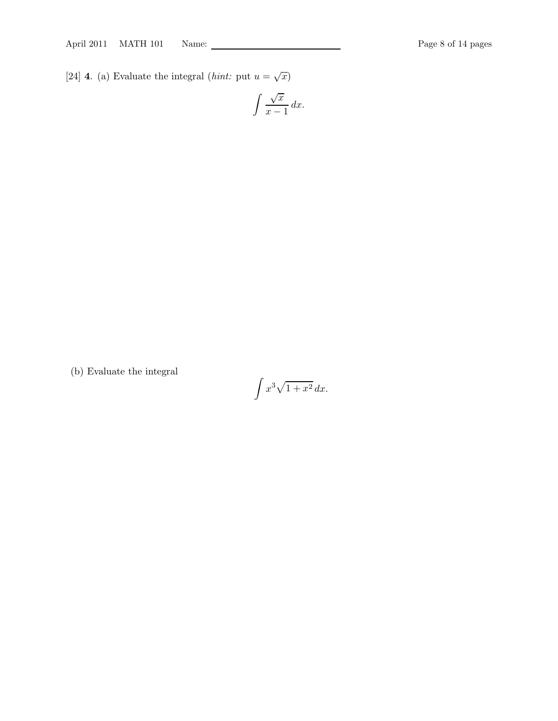[24] **4.** (a) Evaluate the integral (*hint:* put  $u = \sqrt{x}$ )

$$
\int \frac{\sqrt{x}}{x-1} \, dx.
$$

(b) Evaluate the integral

$$
\int x^3 \sqrt{1+x^2} \, dx.
$$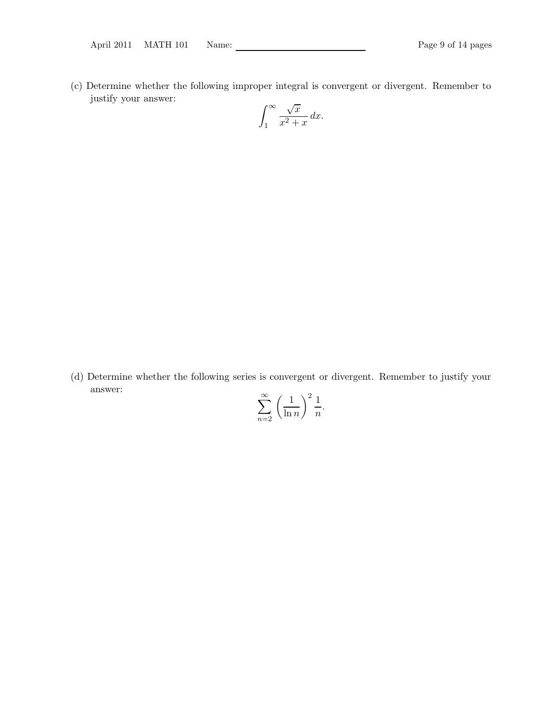(c) Determine whether the following improper integral is convergent or divergent. Remember to justify your answer:  $\sim$ 

$$
\int_1^\infty \frac{\sqrt{x}}{x^2 + x} \, dx.
$$

(d) Determine whether the following series is convergent or divergent. Remember to justify your answer:

$$
\sum_{n=2}^{\infty} \left(\frac{1}{\ln n}\right)^2 \frac{1}{n}.
$$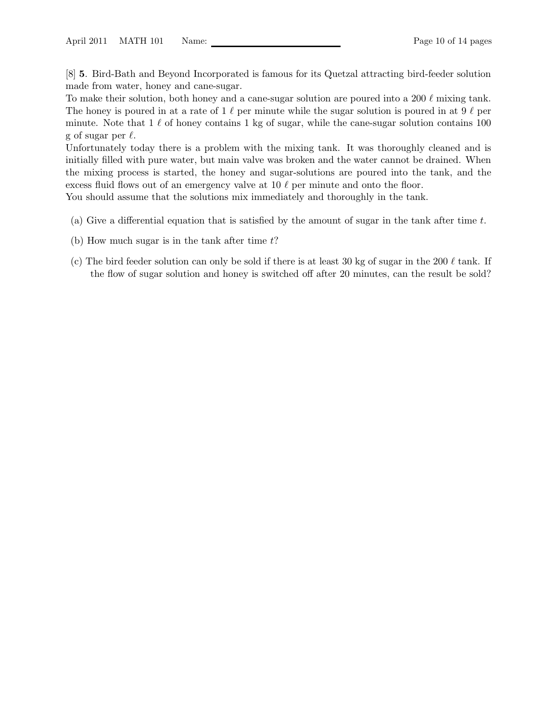[8] 5. Bird-Bath and Beyond Incorporated is famous for its Quetzal attracting bird-feeder solution made from water, honey and cane-sugar.

To make their solution, both honey and a cane-sugar solution are poured into a 200  $\ell$  mixing tank. The honey is poured in at a rate of 1  $\ell$  per minute while the sugar solution is poured in at 9  $\ell$  per minute. Note that  $1 \ell$  of honey contains 1 kg of sugar, while the cane-sugar solution contains 100 g of sugar per  $\ell$ .

Unfortunately today there is a problem with the mixing tank. It was thoroughly cleaned and is initially filled with pure water, but main valve was broken and the water cannot be drained. When the mixing process is started, the honey and sugar-solutions are poured into the tank, and the excess fluid flows out of an emergency valve at 10  $\ell$  per minute and onto the floor.

You should assume that the solutions mix immediately and thoroughly in the tank.

- (a) Give a differential equation that is satisfied by the amount of sugar in the tank after time  $t$ .
- (b) How much sugar is in the tank after time  $t$ ?
- (c) The bird feeder solution can only be sold if there is at least 30 kg of sugar in the 200  $\ell$  tank. If the flow of sugar solution and honey is switched off after 20 minutes, can the result be sold?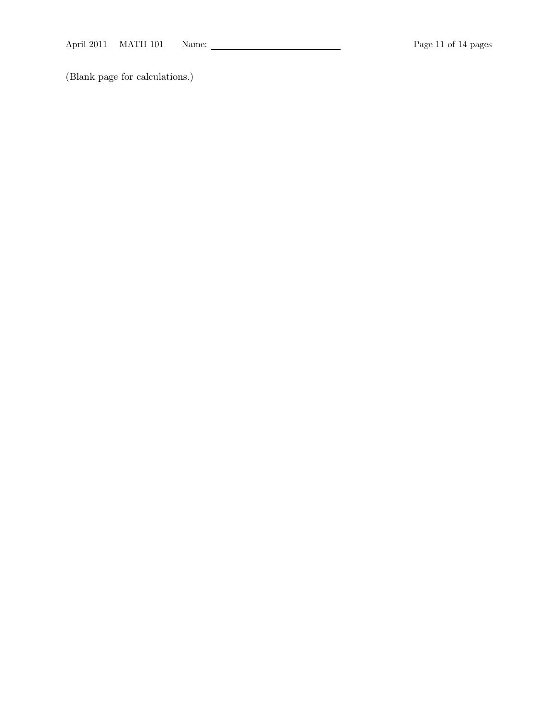(Blank page for calculations.)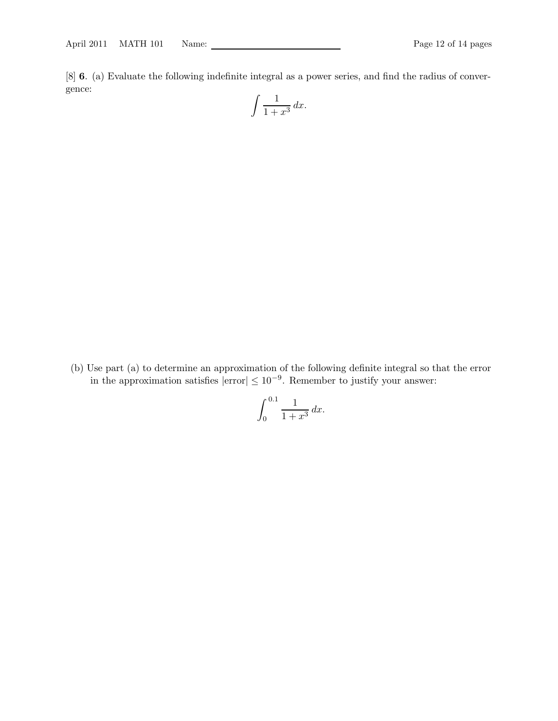[8] 6. (a) Evaluate the following indefinite integral as a power series, and find the radius of convergence:

$$
\int \frac{1}{1+x^3} \, dx.
$$

(b) Use part (a) to determine an approximation of the following definite integral so that the error in the approximation satisfies  $|\text{error}| \leq 10^{-9}$ . Remember to justify your answer:

$$
\int_0^{0.1} \frac{1}{1+x^3} \, dx.
$$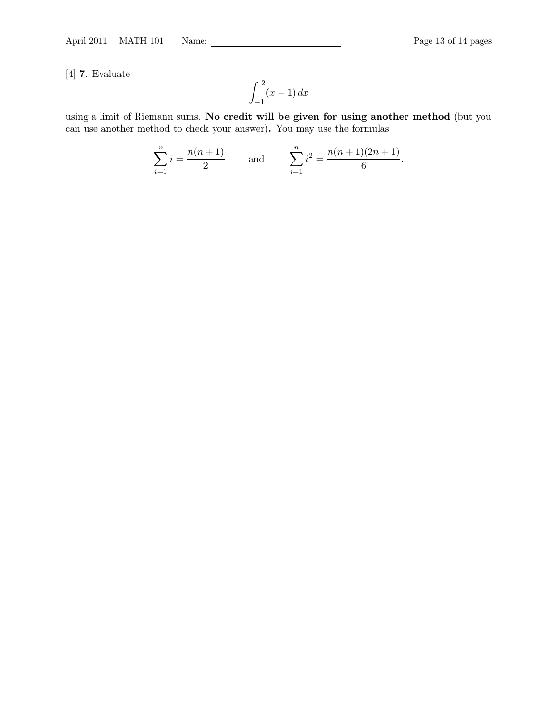[4] 7. Evaluate

$$
\int_{-1}^{2} (x-1) \, dx
$$

using a limit of Riemann sums. No credit will be given for using another method (but you can use another method to check your answer). You may use the formulas

$$
\sum_{i=1}^{n} i = \frac{n(n+1)}{2} \quad \text{and} \quad \sum_{i=1}^{n} i^2 = \frac{n(n+1)(2n+1)}{6}.
$$